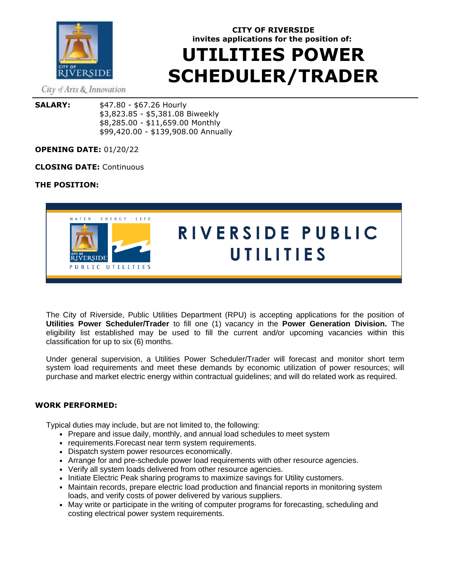

# **CITY OF RIVERSIDE invites applications for the position of: UTILITIES POWER SCHEDULER/TRADER**

City of Arts & Innovation

**SALARY:** \$47.80 - \$67.26 Hourly \$3,823.85 - \$5,381.08 Biweekly \$8,285.00 - \$11,659.00 Monthly \$99,420.00 - \$139,908.00 Annually

# **OPENING DATE:** 01/20/22

# **CLOSING DATE:** Continuous

# **THE POSITION:**



The City of Riverside, Public Utilities Department (RPU) is accepting applications for the position of **Utilities Power Scheduler/Trader** to fill one (1) vacancy in the **Power Generation Division.** The eligibility list established may be used to fill the current and/or upcoming vacancies within this classification for up to six (6) months.

Under general supervision, a Utilities Power Scheduler/Trader will forecast and monitor short term system load requirements and meet these demands by economic utilization of power resources; will purchase and market electric energy within contractual guidelines; and will do related work as required.

# **WORK PERFORMED:**

Typical duties may include, but are not limited to, the following:

- Prepare and issue daily, monthly, and annual load schedules to meet system
- requirements. Forecast near term system requirements.
- Dispatch system power resources economically.
- Arrange for and pre-schedule power load requirements with other resource agencies.
- Verify all system loads delivered from other resource agencies.
- Initiate Electric Peak sharing programs to maximize savings for Utility customers.
- Maintain records, prepare electric load production and financial reports in monitoring system loads, and verify costs of power delivered by various suppliers.
- May write or participate in the writing of computer programs for forecasting, scheduling and costing electrical power system requirements.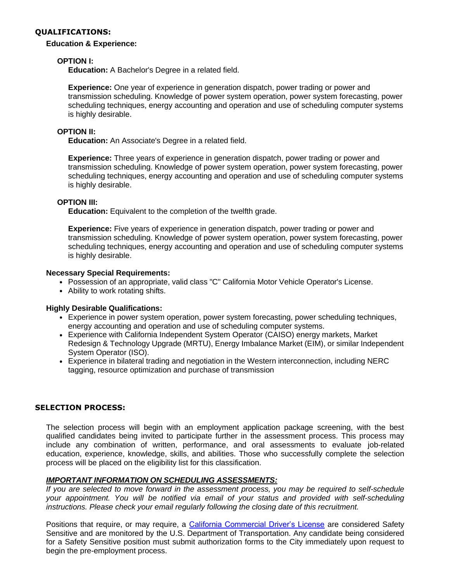#### **QUALIFICATIONS:**

#### **Education & Experience:**

### **OPTION I:**

**Education:** A Bachelor's Degree in a related field.

**Experience:** One year of experience in generation dispatch, power trading or power and transmission scheduling. Knowledge of power system operation, power system forecasting, power scheduling techniques, energy accounting and operation and use of scheduling computer systems is highly desirable.

# **OPTION II:**

**Education:** An Associate's Degree in a related field.

**Experience:** Three years of experience in generation dispatch, power trading or power and transmission scheduling. Knowledge of power system operation, power system forecasting, power scheduling techniques, energy accounting and operation and use of scheduling computer systems is highly desirable.

# **OPTION III:**

**Education:** Equivalent to the completion of the twelfth grade.

**Experience:** Five years of experience in generation dispatch, power trading or power and transmission scheduling. Knowledge of power system operation, power system forecasting, power scheduling techniques, energy accounting and operation and use of scheduling computer systems is highly desirable.

#### **Necessary Special Requirements:**

- Possession of an appropriate, valid class "C" California Motor Vehicle Operator's License.
- Ability to work rotating shifts.

#### **Highly Desirable Qualifications:**

- Experience in power system operation, power system forecasting, power scheduling techniques, energy accounting and operation and use of scheduling computer systems.
- Experience with California Independent System Operator (CAISO) energy markets, Market Redesign & Technology Upgrade (MRTU), Energy Imbalance Market (EIM), or similar Independent System Operator (ISO).
- Experience in bilateral trading and negotiation in the Western interconnection, including NERC tagging, resource optimization and purchase of transmission

#### **SELECTION PROCESS:**

The selection process will begin with an employment application package screening, with the best qualified candidates being invited to participate further in the assessment process. This process may include any combination of written, performance, and oral assessments to evaluate job-related education, experience, knowledge, skills, and abilities. Those who successfully complete the selection process will be placed on the eligibility list for this classification.

#### *IMPORTANT INFORMATION ON SCHEDULING ASSESSMENTS:*

*If you are selected to move forward in the assessment process, you may be required to self-schedule your appointment. You will be notified via email of your status and provided with self-scheduling instructions. Please check your email regularly following the closing date of this recruitment.*

Positions that require, or may require, a [California Commercial Driver's License](https://www.dmv.ca.gov/portal/driver-licenses-identification-cards/commercial-driver-licenses-cdl/) are considered Safety Sensitive and are monitored by the U.S. Department of Transportation. Any candidate being considered for a Safety Sensitive position must submit authorization forms to the City immediately upon request to begin the pre-employment process.